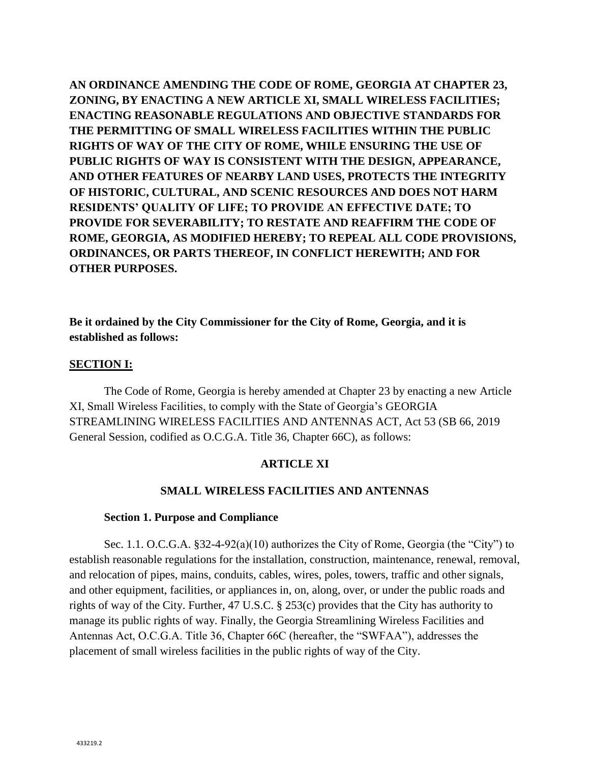**AN ORDINANCE AMENDING THE CODE OF ROME, GEORGIA AT CHAPTER 23, ZONING, BY ENACTING A NEW ARTICLE XI, SMALL WIRELESS FACILITIES; ENACTING REASONABLE REGULATIONS AND OBJECTIVE STANDARDS FOR THE PERMITTING OF SMALL WIRELESS FACILITIES WITHIN THE PUBLIC RIGHTS OF WAY OF THE CITY OF ROME, WHILE ENSURING THE USE OF PUBLIC RIGHTS OF WAY IS CONSISTENT WITH THE DESIGN, APPEARANCE, AND OTHER FEATURES OF NEARBY LAND USES, PROTECTS THE INTEGRITY OF HISTORIC, CULTURAL, AND SCENIC RESOURCES AND DOES NOT HARM RESIDENTS' QUALITY OF LIFE; TO PROVIDE AN EFFECTIVE DATE; TO PROVIDE FOR SEVERABILITY; TO RESTATE AND REAFFIRM THE CODE OF ROME, GEORGIA, AS MODIFIED HEREBY; TO REPEAL ALL CODE PROVISIONS, ORDINANCES, OR PARTS THEREOF, IN CONFLICT HEREWITH; AND FOR OTHER PURPOSES.**

## **Be it ordained by the City Commissioner for the City of Rome, Georgia, and it is established as follows:**

### **SECTION I:**

The Code of Rome, Georgia is hereby amended at Chapter 23 by enacting a new Article XI, Small Wireless Facilities, to comply with the State of Georgia's GEORGIA STREAMLINING WIRELESS FACILITIES AND ANTENNAS ACT, Act 53 (SB 66, 2019 General Session, codified as O.C.G.A. Title 36, Chapter 66C), as follows:

## **ARTICLE XI**

### **SMALL WIRELESS FACILITIES AND ANTENNAS**

#### **Section 1. Purpose and Compliance**

Sec. 1.1. O.C.G.A. §32-4-92(a)(10) authorizes the City of Rome, Georgia (the "City") to establish reasonable regulations for the installation, construction, maintenance, renewal, removal, and relocation of pipes, mains, conduits, cables, wires, poles, towers, traffic and other signals, and other equipment, facilities, or appliances in, on, along, over, or under the public roads and rights of way of the City. Further, 47 U.S.C. § 253(c) provides that the City has authority to manage its public rights of way. Finally, the Georgia Streamlining Wireless Facilities and Antennas Act, O.C.G.A. Title 36, Chapter 66C (hereafter, the "SWFAA"), addresses the placement of small wireless facilities in the public rights of way of the City.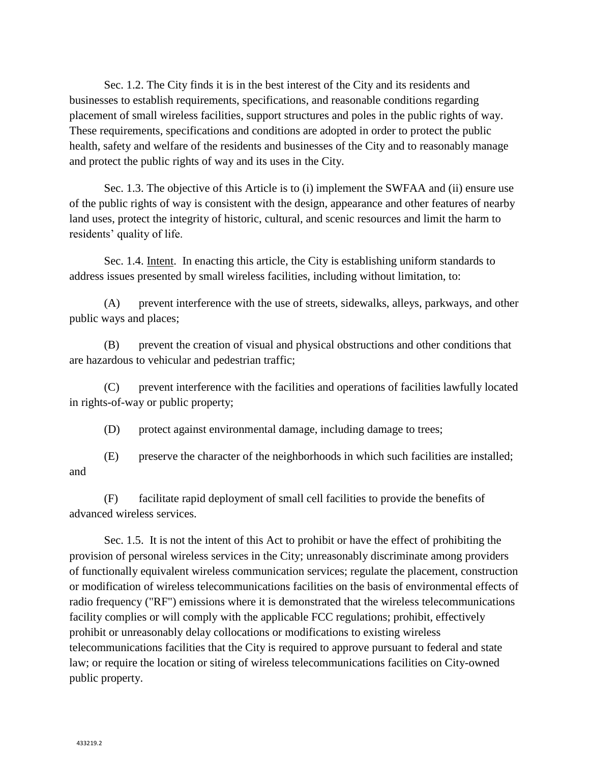Sec. 1.2. The City finds it is in the best interest of the City and its residents and businesses to establish requirements, specifications, and reasonable conditions regarding placement of small wireless facilities, support structures and poles in the public rights of way. These requirements, specifications and conditions are adopted in order to protect the public health, safety and welfare of the residents and businesses of the City and to reasonably manage and protect the public rights of way and its uses in the City.

Sec. 1.3. The objective of this Article is to (i) implement the SWFAA and (ii) ensure use of the public rights of way is consistent with the design, appearance and other features of nearby land uses, protect the integrity of historic, cultural, and scenic resources and limit the harm to residents' quality of life.

Sec. 1.4. Intent. In enacting this article, the City is establishing uniform standards to address issues presented by small wireless facilities, including without limitation, to:

(A) prevent interference with the use of streets, sidewalks, alleys, parkways, and other public ways and places;

(B) prevent the creation of visual and physical obstructions and other conditions that are hazardous to vehicular and pedestrian traffic;

(C) prevent interference with the facilities and operations of facilities lawfully located in rights-of-way or public property;

(D) protect against environmental damage, including damage to trees;

(E) preserve the character of the neighborhoods in which such facilities are installed; and

(F) facilitate rapid deployment of small cell facilities to provide the benefits of advanced wireless services.

Sec. 1.5. It is not the intent of this Act to prohibit or have the effect of prohibiting the provision of personal wireless services in the City; unreasonably discriminate among providers of functionally equivalent wireless communication services; regulate the placement, construction or modification of wireless telecommunications facilities on the basis of environmental effects of radio frequency ("RF") emissions where it is demonstrated that the wireless telecommunications facility complies or will comply with the applicable FCC regulations; prohibit, effectively prohibit or unreasonably delay collocations or modifications to existing wireless telecommunications facilities that the City is required to approve pursuant to federal and state law; or require the location or siting of wireless telecommunications facilities on City-owned public property.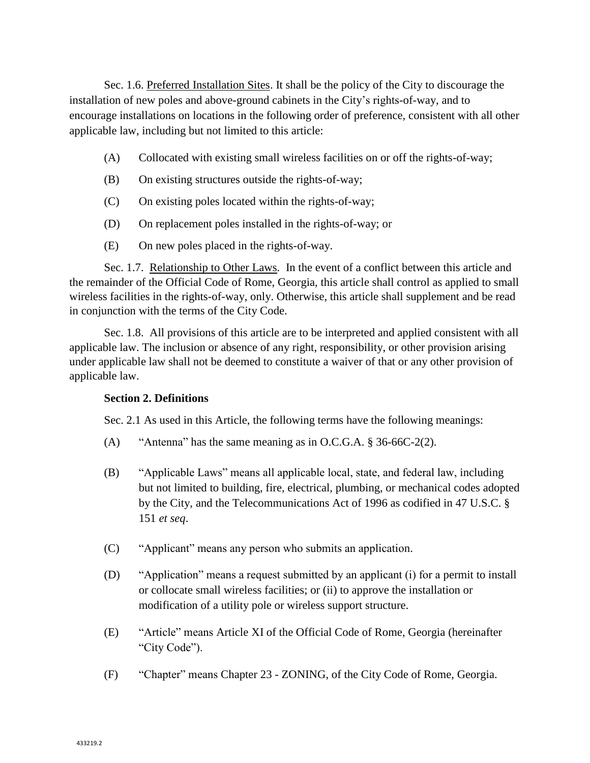Sec. 1.6. Preferred Installation Sites. It shall be the policy of the City to discourage the installation of new poles and above-ground cabinets in the City's rights-of-way, and to encourage installations on locations in the following order of preference, consistent with all other applicable law, including but not limited to this article:

- (A) Collocated with existing small wireless facilities on or off the rights-of-way;
- (B) On existing structures outside the rights-of-way;
- (C) On existing poles located within the rights-of-way;
- (D) On replacement poles installed in the rights-of-way; or
- (E) On new poles placed in the rights-of-way.

Sec. 1.7. Relationship to Other Laws. In the event of a conflict between this article and the remainder of the Official Code of Rome, Georgia, this article shall control as applied to small wireless facilities in the rights-of-way, only. Otherwise, this article shall supplement and be read in conjunction with the terms of the City Code.

Sec. 1.8. All provisions of this article are to be interpreted and applied consistent with all applicable law. The inclusion or absence of any right, responsibility, or other provision arising under applicable law shall not be deemed to constitute a waiver of that or any other provision of applicable law.

## **Section 2. Definitions**

Sec. 2.1 As used in this Article, the following terms have the following meanings:

- (A) "Antenna" has the same meaning as in O.C.G.A. § 36-66C-2(2).
- (B) "Applicable Laws" means all applicable local, state, and federal law, including but not limited to building, fire, electrical, plumbing, or mechanical codes adopted by the City, and the Telecommunications Act of 1996 as codified in 47 U.S.C. § 151 *et seq*.
- (C) "Applicant" means any person who submits an application.
- (D) "Application" means a request submitted by an applicant (i) for a permit to install or collocate small wireless facilities; or (ii) to approve the installation or modification of a utility pole or wireless support structure.
- (E) "Article" means Article XI of the Official Code of Rome, Georgia (hereinafter "City Code").
- (F) "Chapter" means Chapter 23 ZONING, of the City Code of Rome, Georgia.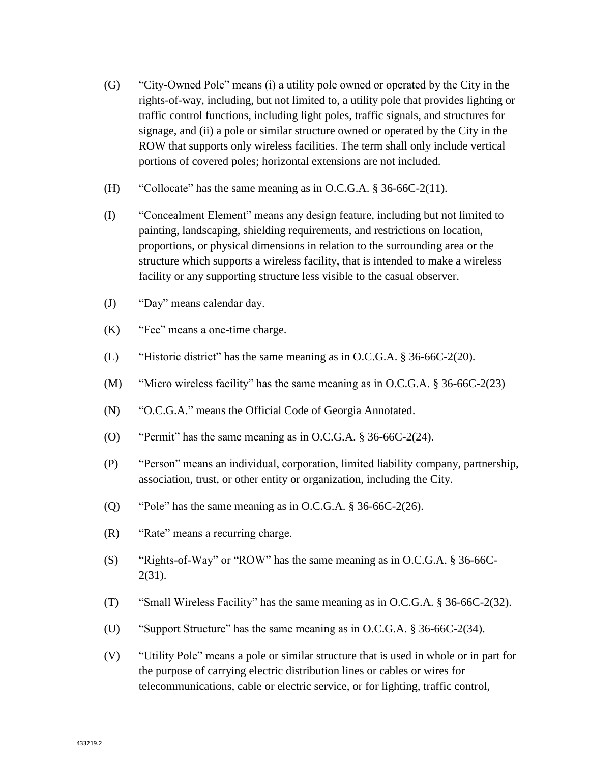- (G) "City-Owned Pole" means (i) a utility pole owned or operated by the City in the rights-of-way, including, but not limited to, a utility pole that provides lighting or traffic control functions, including light poles, traffic signals, and structures for signage, and (ii) a pole or similar structure owned or operated by the City in the ROW that supports only wireless facilities. The term shall only include vertical portions of covered poles; horizontal extensions are not included.
- (H) "Collocate" has the same meaning as in O.C.G.A. § 36-66C-2(11).
- (I) "Concealment Element" means any design feature, including but not limited to painting, landscaping, shielding requirements, and restrictions on location, proportions, or physical dimensions in relation to the surrounding area or the structure which supports a wireless facility, that is intended to make a wireless facility or any supporting structure less visible to the casual observer.
- (J) "Day" means calendar day.
- (K) "Fee" means a one-time charge.
- (L) "Historic district" has the same meaning as in O.C.G.A. § 36-66C-2(20).
- (M) "Micro wireless facility" has the same meaning as in O.C.G.A. § 36-66C-2(23)
- (N) "O.C.G.A." means the Official Code of Georgia Annotated.
- (O) "Permit" has the same meaning as in O.C.G.A. § 36-66C-2(24).
- (P) "Person" means an individual, corporation, limited liability company, partnership, association, trust, or other entity or organization, including the City.
- (Q) "Pole" has the same meaning as in O.C.G.A. § 36-66C-2(26).
- (R) "Rate" means a recurring charge.
- (S) "Rights-of-Way" or "ROW" has the same meaning as in O.C.G.A. § 36-66C-2(31).
- (T) "Small Wireless Facility" has the same meaning as in O.C.G.A. § 36-66C-2(32).
- (U) "Support Structure" has the same meaning as in O.C.G.A. § 36-66C-2(34).
- (V) "Utility Pole" means a pole or similar structure that is used in whole or in part for the purpose of carrying electric distribution lines or cables or wires for telecommunications, cable or electric service, or for lighting, traffic control,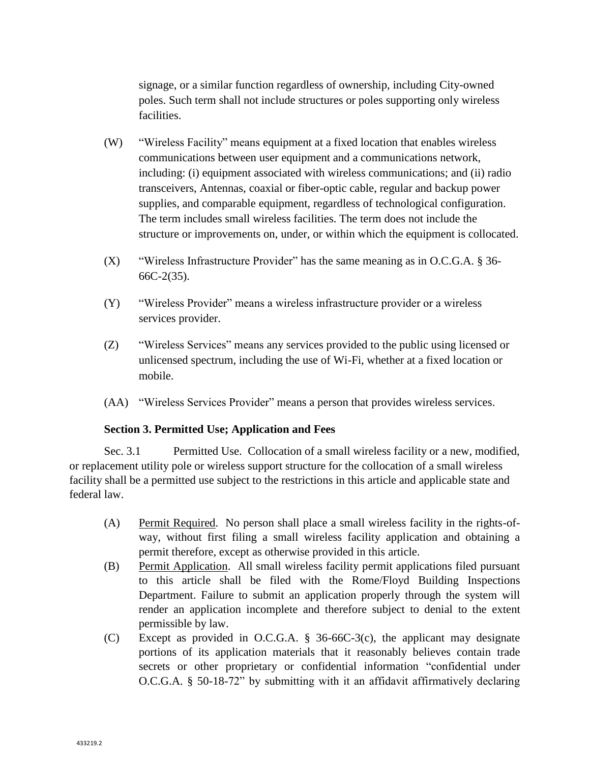signage, or a similar function regardless of ownership, including City-owned poles. Such term shall not include structures or poles supporting only wireless facilities.

- (W) "Wireless Facility" means equipment at a fixed location that enables wireless communications between user equipment and a communications network, including: (i) equipment associated with wireless communications; and (ii) radio transceivers, Antennas, coaxial or fiber-optic cable, regular and backup power supplies, and comparable equipment, regardless of technological configuration. The term includes small wireless facilities. The term does not include the structure or improvements on, under, or within which the equipment is collocated.
- (X) "Wireless Infrastructure Provider" has the same meaning as in O.C.G.A. § 36- 66C-2(35).
- (Y) "Wireless Provider" means a wireless infrastructure provider or a wireless services provider.
- (Z) "Wireless Services" means any services provided to the public using licensed or unlicensed spectrum, including the use of Wi-Fi, whether at a fixed location or mobile.
- (AA) "Wireless Services Provider" means a person that provides wireless services.

## **Section 3. Permitted Use; Application and Fees**

Sec. 3.1 Permitted Use. Collocation of a small wireless facility or a new, modified, or replacement utility pole or wireless support structure for the collocation of a small wireless facility shall be a permitted use subject to the restrictions in this article and applicable state and federal law.

- (A) Permit Required. No person shall place a small wireless facility in the rights-ofway, without first filing a small wireless facility application and obtaining a permit therefore, except as otherwise provided in this article.
- (B) Permit Application. All small wireless facility permit applications filed pursuant to this article shall be filed with the Rome/Floyd Building Inspections Department. Failure to submit an application properly through the system will render an application incomplete and therefore subject to denial to the extent permissible by law.
- (C) Except as provided in O.C.G.A. § 36-66C-3(c), the applicant may designate portions of its application materials that it reasonably believes contain trade secrets or other proprietary or confidential information "confidential under O.C.G.A. § 50-18-72" by submitting with it an affidavit affirmatively declaring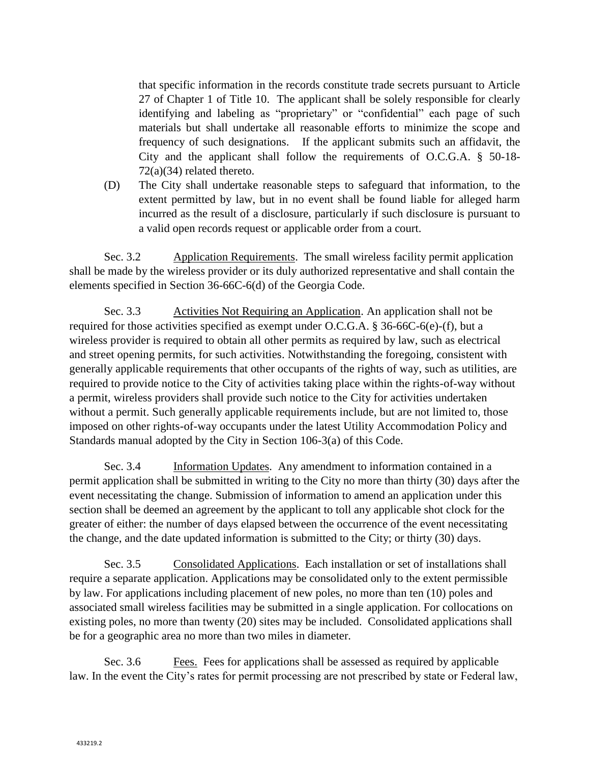that specific information in the records constitute trade secrets pursuant to Article 27 of Chapter 1 of Title 10. The applicant shall be solely responsible for clearly identifying and labeling as "proprietary" or "confidential" each page of such materials but shall undertake all reasonable efforts to minimize the scope and frequency of such designations. If the applicant submits such an affidavit, the City and the applicant shall follow the requirements of O.C.G.A. § 50-18- 72(a)(34) related thereto.

(D) The City shall undertake reasonable steps to safeguard that information, to the extent permitted by law, but in no event shall be found liable for alleged harm incurred as the result of a disclosure, particularly if such disclosure is pursuant to a valid open records request or applicable order from a court.

Sec. 3.2 Application Requirements. The small wireless facility permit application shall be made by the wireless provider or its duly authorized representative and shall contain the elements specified in Section 36-66C-6(d) of the Georgia Code.

Sec. 3.3 Activities Not Requiring an Application. An application shall not be required for those activities specified as exempt under O.C.G.A. § 36-66C-6(e)-(f), but a wireless provider is required to obtain all other permits as required by law, such as electrical and street opening permits, for such activities. Notwithstanding the foregoing, consistent with generally applicable requirements that other occupants of the rights of way, such as utilities, are required to provide notice to the City of activities taking place within the rights-of-way without a permit, wireless providers shall provide such notice to the City for activities undertaken without a permit. Such generally applicable requirements include, but are not limited to, those imposed on other rights-of-way occupants under the latest Utility Accommodation Policy and Standards manual adopted by the City in Section 106-3(a) of this Code.

Sec. 3.4 Information Updates. Any amendment to information contained in a permit application shall be submitted in writing to the City no more than thirty (30) days after the event necessitating the change. Submission of information to amend an application under this section shall be deemed an agreement by the applicant to toll any applicable shot clock for the greater of either: the number of days elapsed between the occurrence of the event necessitating the change, and the date updated information is submitted to the City; or thirty (30) days.

Sec. 3.5 Consolidated Applications. Each installation or set of installations shall require a separate application. Applications may be consolidated only to the extent permissible by law. For applications including placement of new poles, no more than ten (10) poles and associated small wireless facilities may be submitted in a single application. For collocations on existing poles, no more than twenty (20) sites may be included. Consolidated applications shall be for a geographic area no more than two miles in diameter.

Sec. 3.6 Fees. Fees for applications shall be assessed as required by applicable law. In the event the City's rates for permit processing are not prescribed by state or Federal law,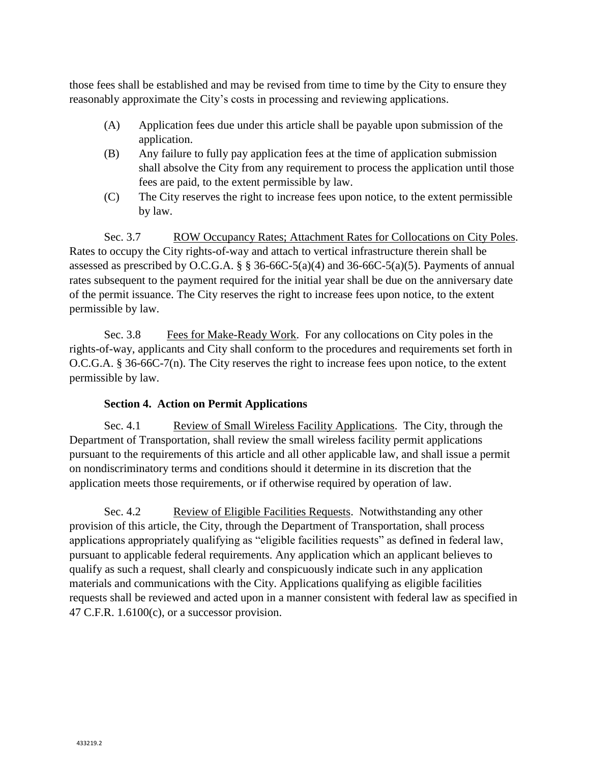those fees shall be established and may be revised from time to time by the City to ensure they reasonably approximate the City's costs in processing and reviewing applications.

- (A) Application fees due under this article shall be payable upon submission of the application.
- (B) Any failure to fully pay application fees at the time of application submission shall absolve the City from any requirement to process the application until those fees are paid, to the extent permissible by law.
- (C) The City reserves the right to increase fees upon notice, to the extent permissible by law.

Sec. 3.7 ROW Occupancy Rates; Attachment Rates for Collocations on City Poles. Rates to occupy the City rights-of-way and attach to vertical infrastructure therein shall be assessed as prescribed by O.C.G.A. § § 36-66C-5(a)(4) and 36-66C-5(a)(5). Payments of annual rates subsequent to the payment required for the initial year shall be due on the anniversary date of the permit issuance. The City reserves the right to increase fees upon notice, to the extent permissible by law.

Sec. 3.8 Fees for Make-Ready Work. For any collocations on City poles in the rights-of-way, applicants and City shall conform to the procedures and requirements set forth in O.C.G.A. § 36-66C-7(n). The City reserves the right to increase fees upon notice, to the extent permissible by law.

## **Section 4. Action on Permit Applications**

Sec. 4.1 Review of Small Wireless Facility Applications. The City, through the Department of Transportation, shall review the small wireless facility permit applications pursuant to the requirements of this article and all other applicable law, and shall issue a permit on nondiscriminatory terms and conditions should it determine in its discretion that the application meets those requirements, or if otherwise required by operation of law.

Sec. 4.2 Review of Eligible Facilities Requests. Notwithstanding any other provision of this article, the City, through the Department of Transportation, shall process applications appropriately qualifying as "eligible facilities requests" as defined in federal law, pursuant to applicable federal requirements. Any application which an applicant believes to qualify as such a request, shall clearly and conspicuously indicate such in any application materials and communications with the City. Applications qualifying as eligible facilities requests shall be reviewed and acted upon in a manner consistent with federal law as specified in 47 C.F.R.  $1.6100(c)$ , or a successor provision.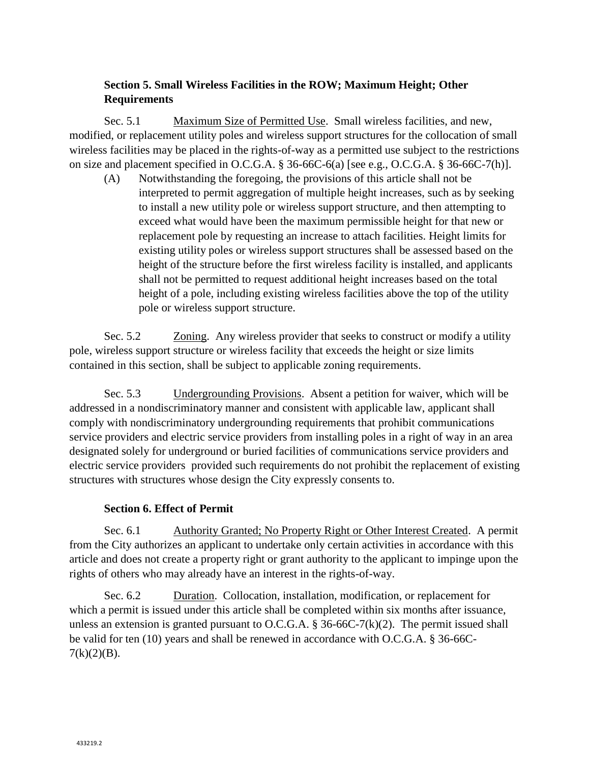# **Section 5. Small Wireless Facilities in the ROW; Maximum Height; Other Requirements**

Sec. 5.1 Maximum Size of Permitted Use. Small wireless facilities, and new, modified, or replacement utility poles and wireless support structures for the collocation of small wireless facilities may be placed in the rights-of-way as a permitted use subject to the restrictions on size and placement specified in O.C.G.A. § 36-66C-6(a) [see e.g., O.C.G.A. § 36-66C-7(h)].

(A) Notwithstanding the foregoing, the provisions of this article shall not be interpreted to permit aggregation of multiple height increases, such as by seeking to install a new utility pole or wireless support structure, and then attempting to exceed what would have been the maximum permissible height for that new or replacement pole by requesting an increase to attach facilities. Height limits for existing utility poles or wireless support structures shall be assessed based on the height of the structure before the first wireless facility is installed, and applicants shall not be permitted to request additional height increases based on the total height of a pole, including existing wireless facilities above the top of the utility pole or wireless support structure.

Sec. 5.2 Zoning. Any wireless provider that seeks to construct or modify a utility pole, wireless support structure or wireless facility that exceeds the height or size limits contained in this section, shall be subject to applicable zoning requirements.

Sec. 5.3 Undergrounding Provisions. Absent a petition for waiver, which will be addressed in a nondiscriminatory manner and consistent with applicable law, applicant shall comply with nondiscriminatory undergrounding requirements that prohibit communications service providers and electric service providers from installing poles in a right of way in an area designated solely for underground or buried facilities of communications service providers and electric service providers provided such requirements do not prohibit the replacement of existing structures with structures whose design the City expressly consents to.

## **Section 6. Effect of Permit**

Sec. 6.1 Authority Granted; No Property Right or Other Interest Created. A permit from the City authorizes an applicant to undertake only certain activities in accordance with this article and does not create a property right or grant authority to the applicant to impinge upon the rights of others who may already have an interest in the rights-of-way.

Sec. 6.2 Duration. Collocation, installation, modification, or replacement for which a permit is issued under this article shall be completed within six months after issuance, unless an extension is granted pursuant to O.C.G.A.  $\S$  36-66C-7(k)(2). The permit issued shall be valid for ten (10) years and shall be renewed in accordance with O.C.G.A. § 36-66C- $7(k)(2)(B)$ .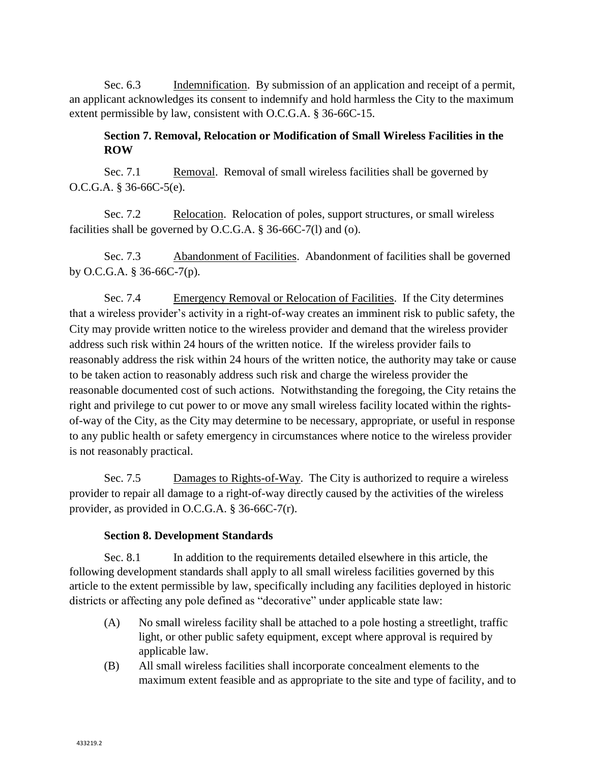Sec. 6.3 Indemnification. By submission of an application and receipt of a permit, an applicant acknowledges its consent to indemnify and hold harmless the City to the maximum extent permissible by law, consistent with O.C.G.A. § 36-66C-15.

## **Section 7. Removal, Relocation or Modification of Small Wireless Facilities in the ROW**

Sec. 7.1 Removal. Removal of small wireless facilities shall be governed by O.C.G.A. § 36-66C-5(e).

Sec. 7.2 Relocation. Relocation of poles, support structures, or small wireless facilities shall be governed by O.C.G.A. § 36-66C-7(l) and (o).

Sec. 7.3 Abandonment of Facilities. Abandonment of facilities shall be governed by O.C.G.A. § 36-66C-7(p).

Sec. 7.4 Emergency Removal or Relocation of Facilities. If the City determines that a wireless provider's activity in a right-of-way creates an imminent risk to public safety, the City may provide written notice to the wireless provider and demand that the wireless provider address such risk within 24 hours of the written notice. If the wireless provider fails to reasonably address the risk within 24 hours of the written notice, the authority may take or cause to be taken action to reasonably address such risk and charge the wireless provider the reasonable documented cost of such actions. Notwithstanding the foregoing, the City retains the right and privilege to cut power to or move any small wireless facility located within the rightsof-way of the City, as the City may determine to be necessary, appropriate, or useful in response to any public health or safety emergency in circumstances where notice to the wireless provider is not reasonably practical.

Sec. 7.5 Damages to Rights-of-Way. The City is authorized to require a wireless provider to repair all damage to a right-of-way directly caused by the activities of the wireless provider, as provided in O.C.G.A. § 36-66C-7(r).

## **Section 8. Development Standards**

Sec. 8.1 In addition to the requirements detailed elsewhere in this article, the following development standards shall apply to all small wireless facilities governed by this article to the extent permissible by law, specifically including any facilities deployed in historic districts or affecting any pole defined as "decorative" under applicable state law:

- (A) No small wireless facility shall be attached to a pole hosting a streetlight, traffic light, or other public safety equipment, except where approval is required by applicable law.
- (B) All small wireless facilities shall incorporate concealment elements to the maximum extent feasible and as appropriate to the site and type of facility, and to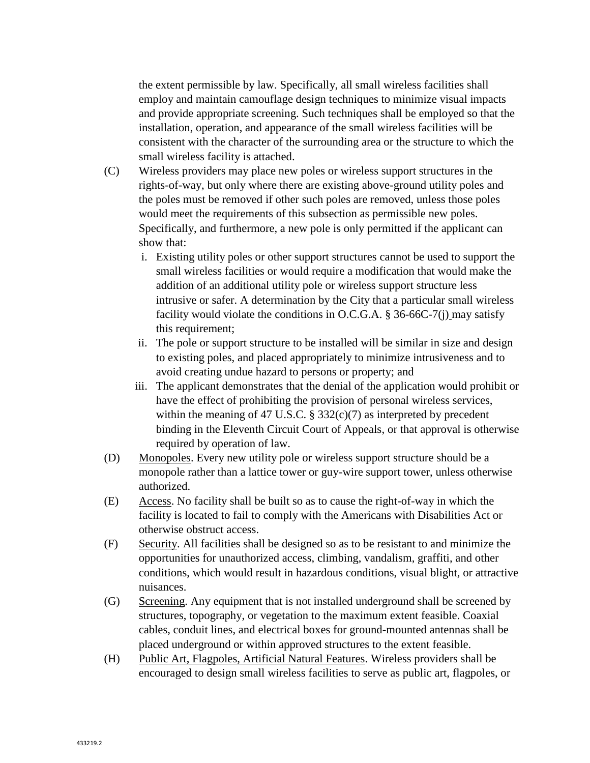the extent permissible by law. Specifically, all small wireless facilities shall employ and maintain camouflage design techniques to minimize visual impacts and provide appropriate screening. Such techniques shall be employed so that the installation, operation, and appearance of the small wireless facilities will be consistent with the character of the surrounding area or the structure to which the small wireless facility is attached.

- (C) Wireless providers may place new poles or wireless support structures in the rights-of-way, but only where there are existing above-ground utility poles and the poles must be removed if other such poles are removed, unless those poles would meet the requirements of this subsection as permissible new poles. Specifically, and furthermore, a new pole is only permitted if the applicant can show that:
	- i. Existing utility poles or other support structures cannot be used to support the small wireless facilities or would require a modification that would make the addition of an additional utility pole or wireless support structure less intrusive or safer. A determination by the City that a particular small wireless facility would violate the conditions in O.C.G.A. § 36-66C-7(j) may satisfy this requirement;
	- ii. The pole or support structure to be installed will be similar in size and design to existing poles, and placed appropriately to minimize intrusiveness and to avoid creating undue hazard to persons or property; and
	- iii. The applicant demonstrates that the denial of the application would prohibit or have the effect of prohibiting the provision of personal wireless services, within the meaning of 47 U.S.C.  $\S 332(c)(7)$  as interpreted by precedent binding in the Eleventh Circuit Court of Appeals, or that approval is otherwise required by operation of law.
- (D) Monopoles. Every new utility pole or wireless support structure should be a monopole rather than a lattice tower or guy-wire support tower, unless otherwise authorized.
- (E) Access. No facility shall be built so as to cause the right-of-way in which the facility is located to fail to comply with the Americans with Disabilities Act or otherwise obstruct access.
- (F) Security. All facilities shall be designed so as to be resistant to and minimize the opportunities for unauthorized access, climbing, vandalism, graffiti, and other conditions, which would result in hazardous conditions, visual blight, or attractive nuisances.
- (G) Screening. Any equipment that is not installed underground shall be screened by structures, topography, or vegetation to the maximum extent feasible. Coaxial cables, conduit lines, and electrical boxes for ground-mounted antennas shall be placed underground or within approved structures to the extent feasible.
- (H) Public Art, Flagpoles, Artificial Natural Features. Wireless providers shall be encouraged to design small wireless facilities to serve as public art, flagpoles, or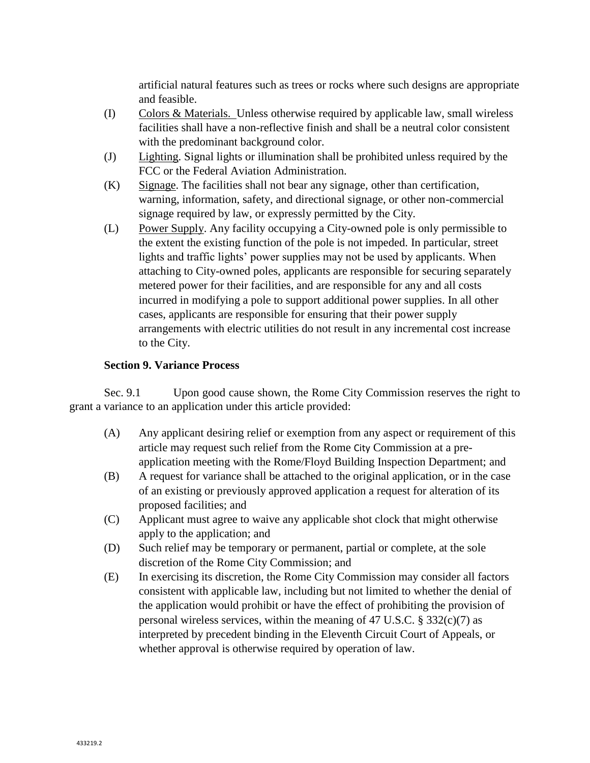artificial natural features such as trees or rocks where such designs are appropriate and feasible.

- (I) Colors & Materials. Unless otherwise required by applicable law, small wireless facilities shall have a non-reflective finish and shall be a neutral color consistent with the predominant background color.
- (J) Lighting. Signal lights or illumination shall be prohibited unless required by the FCC or the Federal Aviation Administration.
- (K) Signage. The facilities shall not bear any signage, other than certification, warning, information, safety, and directional signage, or other non-commercial signage required by law, or expressly permitted by the City.
- (L) Power Supply. Any facility occupying a City-owned pole is only permissible to the extent the existing function of the pole is not impeded. In particular, street lights and traffic lights' power supplies may not be used by applicants. When attaching to City-owned poles, applicants are responsible for securing separately metered power for their facilities, and are responsible for any and all costs incurred in modifying a pole to support additional power supplies. In all other cases, applicants are responsible for ensuring that their power supply arrangements with electric utilities do not result in any incremental cost increase to the City.

### **Section 9. Variance Process**

Sec. 9.1 Upon good cause shown, the Rome City Commission reserves the right to grant a variance to an application under this article provided:

- (A) Any applicant desiring relief or exemption from any aspect or requirement of this article may request such relief from the Rome City Commission at a preapplication meeting with the Rome/Floyd Building Inspection Department; and
- (B) A request for variance shall be attached to the original application, or in the case of an existing or previously approved application a request for alteration of its proposed facilities; and
- (C) Applicant must agree to waive any applicable shot clock that might otherwise apply to the application; and
- (D) Such relief may be temporary or permanent, partial or complete, at the sole discretion of the Rome City Commission; and
- (E) In exercising its discretion, the Rome City Commission may consider all factors consistent with applicable law, including but not limited to whether the denial of the application would prohibit or have the effect of prohibiting the provision of personal wireless services, within the meaning of 47 U.S.C. § 332(c)(7) as interpreted by precedent binding in the Eleventh Circuit Court of Appeals, or whether approval is otherwise required by operation of law.